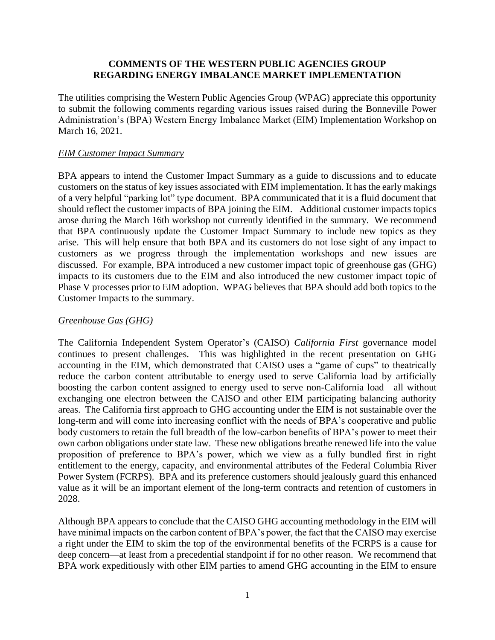## **COMMENTS OF THE WESTERN PUBLIC AGENCIES GROUP REGARDING ENERGY IMBALANCE MARKET IMPLEMENTATION**

The utilities comprising the Western Public Agencies Group (WPAG) appreciate this opportunity to submit the following comments regarding various issues raised during the Bonneville Power Administration's (BPA) Western Energy Imbalance Market (EIM) Implementation Workshop on March 16, 2021.

### *EIM Customer Impact Summary*

BPA appears to intend the Customer Impact Summary as a guide to discussions and to educate customers on the status of key issues associated with EIM implementation. It has the early makings of a very helpful "parking lot" type document. BPA communicated that it is a fluid document that should reflect the customer impacts of BPA joining the EIM. Additional customer impacts topics arose during the March 16th workshop not currently identified in the summary. We recommend that BPA continuously update the Customer Impact Summary to include new topics as they arise. This will help ensure that both BPA and its customers do not lose sight of any impact to customers as we progress through the implementation workshops and new issues are discussed. For example, BPA introduced a new customer impact topic of greenhouse gas (GHG) impacts to its customers due to the EIM and also introduced the new customer impact topic of Phase V processes prior to EIM adoption. WPAG believes that BPA should add both topics to the Customer Impacts to the summary.

### *Greenhouse Gas (GHG)*

The California Independent System Operator's (CAISO) *California First* governance model continues to present challenges. This was highlighted in the recent presentation on GHG accounting in the EIM, which demonstrated that CAISO uses a "game of cups" to theatrically reduce the carbon content attributable to energy used to serve California load by artificially boosting the carbon content assigned to energy used to serve non-California load—all without exchanging one electron between the CAISO and other EIM participating balancing authority areas. The California first approach to GHG accounting under the EIM is not sustainable over the long-term and will come into increasing conflict with the needs of BPA's cooperative and public body customers to retain the full breadth of the low-carbon benefits of BPA's power to meet their own carbon obligations under state law. These new obligations breathe renewed life into the value proposition of preference to BPA's power, which we view as a fully bundled first in right entitlement to the energy, capacity, and environmental attributes of the Federal Columbia River Power System (FCRPS). BPA and its preference customers should jealously guard this enhanced value as it will be an important element of the long-term contracts and retention of customers in 2028.

Although BPA appears to conclude that the CAISO GHG accounting methodology in the EIM will have minimal impacts on the carbon content of BPA's power, the fact that the CAISO may exercise a right under the EIM to skim the top of the environmental benefits of the FCRPS is a cause for deep concern—at least from a precedential standpoint if for no other reason. We recommend that BPA work expeditiously with other EIM parties to amend GHG accounting in the EIM to ensure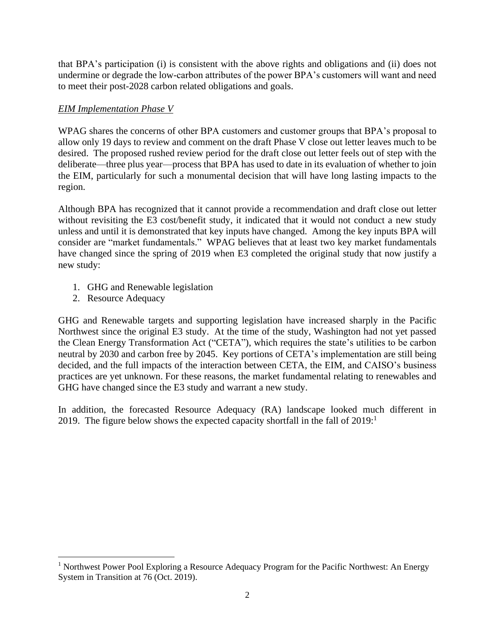that BPA's participation (i) is consistent with the above rights and obligations and (ii) does not undermine or degrade the low-carbon attributes of the power BPA's customers will want and need to meet their post-2028 carbon related obligations and goals.

# *EIM Implementation Phase V*

WPAG shares the concerns of other BPA customers and customer groups that BPA's proposal to allow only 19 days to review and comment on the draft Phase V close out letter leaves much to be desired. The proposed rushed review period for the draft close out letter feels out of step with the deliberate—three plus year—process that BPA has used to date in its evaluation of whether to join the EIM, particularly for such a monumental decision that will have long lasting impacts to the region.

Although BPA has recognized that it cannot provide a recommendation and draft close out letter without revisiting the E3 cost/benefit study, it indicated that it would not conduct a new study unless and until it is demonstrated that key inputs have changed. Among the key inputs BPA will consider are "market fundamentals." WPAG believes that at least two key market fundamentals have changed since the spring of 2019 when E3 completed the original study that now justify a new study:

- 1. GHG and Renewable legislation
- 2. Resource Adequacy

GHG and Renewable targets and supporting legislation have increased sharply in the Pacific Northwest since the original E3 study. At the time of the study, Washington had not yet passed the Clean Energy Transformation Act ("CETA"), which requires the state's utilities to be carbon neutral by 2030 and carbon free by 2045. Key portions of CETA's implementation are still being decided, and the full impacts of the interaction between CETA, the EIM, and CAISO's business practices are yet unknown. For these reasons, the market fundamental relating to renewables and GHG have changed since the E3 study and warrant a new study.

In addition, the forecasted Resource Adequacy (RA) landscape looked much different in 2019. The figure below shows the expected capacity shortfall in the fall of  $2019<sup>1</sup>$ 

<sup>&</sup>lt;sup>1</sup> Northwest Power Pool Exploring a Resource Adequacy Program for the Pacific Northwest: An Energy System in Transition at 76 (Oct. 2019).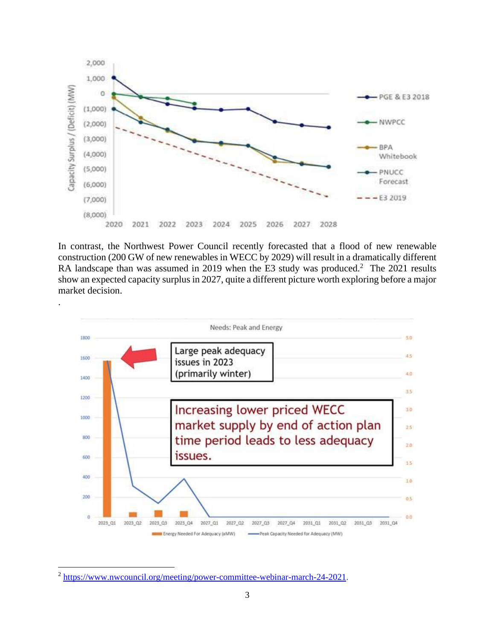

In contrast, the Northwest Power Council recently forecasted that a flood of new renewable construction (200 GW of new renewables in WECC by 2029) will result in a dramatically different RA landscape than was assumed in 2019 when the E3 study was produced.<sup>2</sup> The 2021 results show an expected capacity surplus in 2027, quite a different picture worth exploring before a major market decision.



<sup>&</sup>lt;sup>2</sup> [https://www.nwcouncil.org/meeting/power-committee-webinar-march-24-2021.](https://www.nwcouncil.org/meeting/power-committee-webinar-march-24-2021)